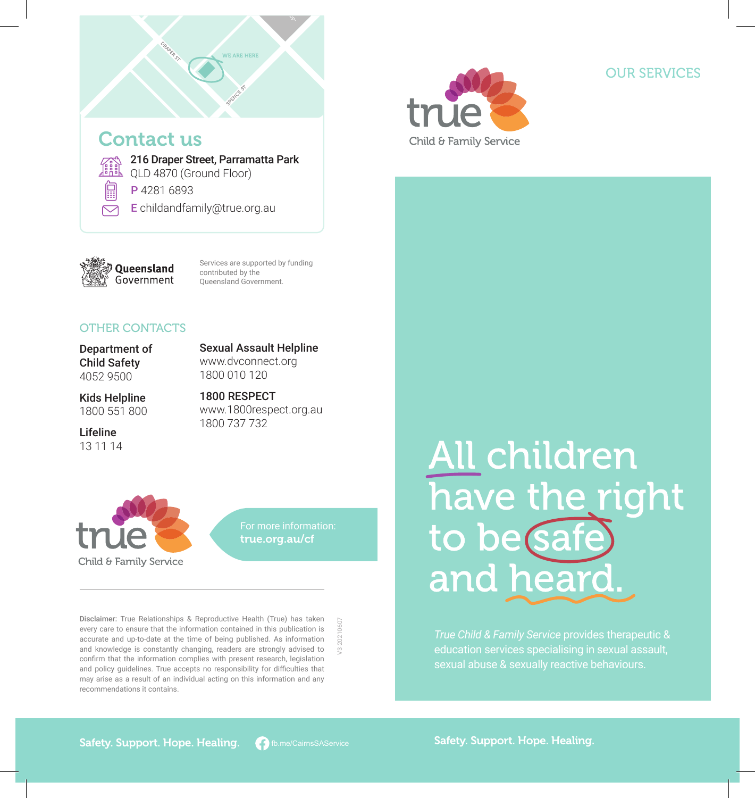



# OUR SERVICES

QLD 4870 (Ground Floor)

P 4281 6893

E childandfamily@true.org.au



Services are supported by funding contributed by the Queensland Government.

#### OTHER CONTACTS

Department of Child Safety 4052 9500

Sexual Assault Helpline www.dvconnect.org 1800 010 120

Kids Helpline 1800 551 800

Lifeline 13 11 14 1800 RESPECT www.1800respect.org.au 1800 737 732



true.org.au/cf

V3-20210607

Disclaimer: True Relationships & Reproductive Health (True) has taken every care to ensure that the information contained in this publication is accurate and up-to-date at the time of being published. As information and knowledge is constantly changing, readers are strongly advised to confirm that the information complies with present research, legislation and policy guidelines. True accepts no responsibility for difficulties that may arise as a result of an individual acting on this information and any recommendations it contains.

# All children have the right to be safe and heard.

*True Child & Family Service* provides therapeutic & education services specialising in sexual assault,